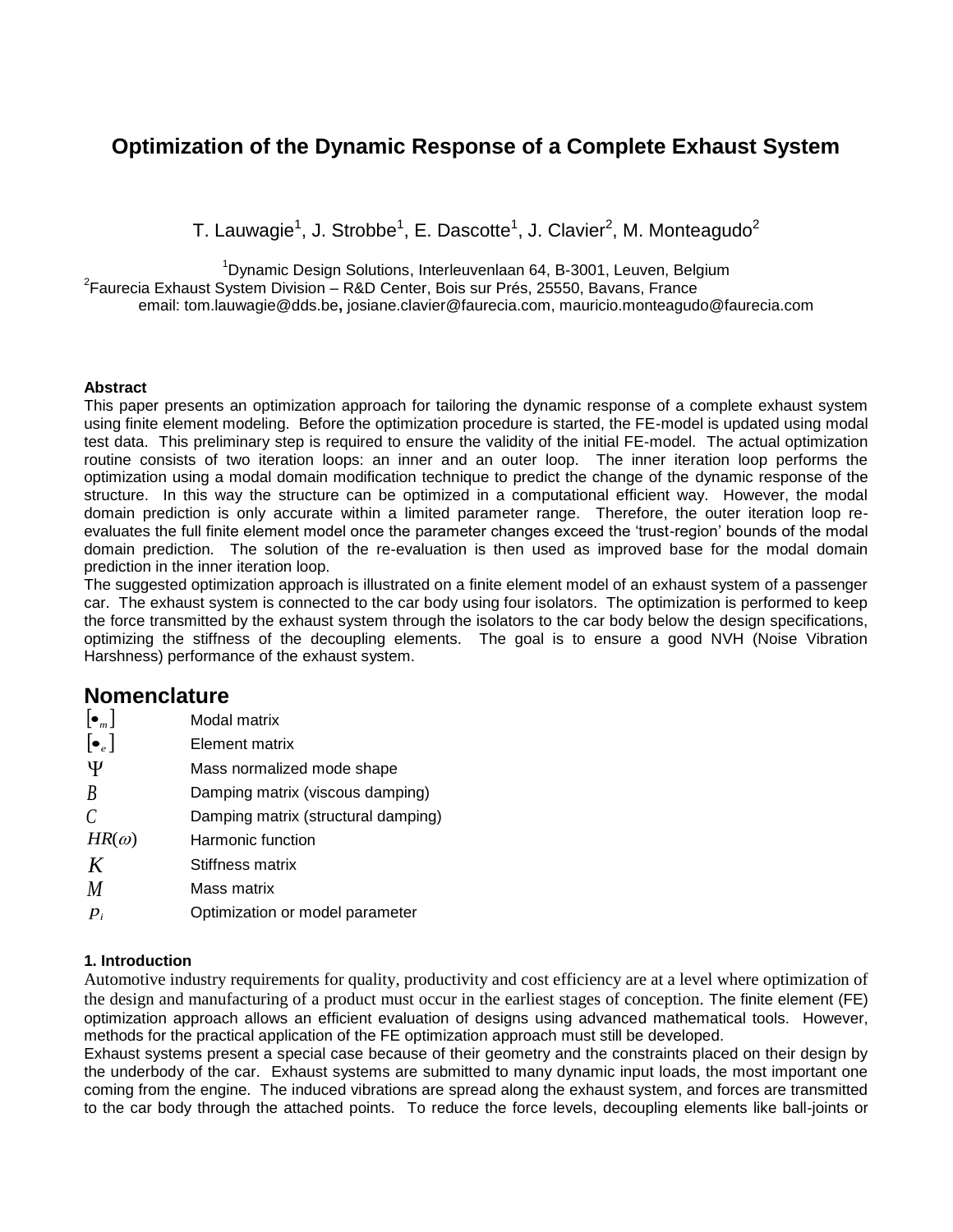# **Optimization of the Dynamic Response of a Complete Exhaust System**

T. Lauwagie<sup>1</sup>, J. Strobbe<sup>1</sup>, E. Dascotte<sup>1</sup>, J. Clavier<sup>2</sup>, M. Monteagudo<sup>2</sup>

<sup>1</sup>Dynamic Design Solutions, Interleuvenlaan 64, B-3001, Leuven, Belgium

<sup>2</sup>Faurecia Exhaust System Division – R&D Center, Bois sur Prés, 25550, Bavans, France

email: [tom.lauwagie@dds.be](mailto:tom.lauwagie@dds.be)**,** [josiane.clavier@faurecia.com,](mailto:josiane.clavier@faurecia.com) mauricio.monteagudo@faurecia.com

#### **Abstract**

This paper presents an optimization approach for tailoring the dynamic response of a complete exhaust system using finite element modeling. Before the optimization procedure is started, the FE-model is updated using modal test data. This preliminary step is required to ensure the validity of the initial FE-model. The actual optimization routine consists of two iteration loops: an inner and an outer loop. The inner iteration loop performs the optimization using a modal domain modification technique to predict the change of the dynamic response of the structure. In this way the structure can be optimized in a computational efficient way. However, the modal domain prediction is only accurate within a limited parameter range. Therefore, the outer iteration loop reevaluates the full finite element model once the parameter changes exceed the 'trust-region' bounds of the modal domain prediction. The solution of the re-evaluation is then used as improved base for the modal domain prediction in the inner iteration loop.

The suggested optimization approach is illustrated on a finite element model of an exhaust system of a passenger car. The exhaust system is connected to the car body using four isolators. The optimization is performed to keep the force transmitted by the exhaust system through the isolators to the car body below the design specifications, optimizing the stiffness of the decoupling elements. The goal is to ensure a good NVH (Noise Vibration Harshness) performance of the exhaust system.

## **Nomenclature**

| $\left[\bullet_{m}\right]$ | Modal matrix                        |
|----------------------------|-------------------------------------|
| $\left[\bullet_e\right]$   | Element matrix                      |
| Ψ                          | Mass normalized mode shape          |
| B                          | Damping matrix (viscous damping)    |
| C                          | Damping matrix (structural damping) |
| $HR(\omega)$               | Harmonic function                   |
| K                          | Stiffness matrix                    |
| M                          | Mass matrix                         |
| $P_i$                      | Optimization or model parameter     |
|                            |                                     |

## **1. Introduction**

Automotive industry requirements for quality, productivity and cost efficiency are at a level where optimization of the design and manufacturing of a product must occur in the earliest stages of conception. The finite element (FE) optimization approach allows an efficient evaluation of designs using advanced mathematical tools. However, methods for the practical application of the FE optimization approach must still be developed.

Exhaust systems present a special case because of their geometry and the constraints placed on their design by the underbody of the car. Exhaust systems are submitted to many dynamic input loads, the most important one coming from the engine. The induced vibrations are spread along the exhaust system, and forces are transmitted to the car body through the attached points. To reduce the force levels, decoupling elements like ball-joints or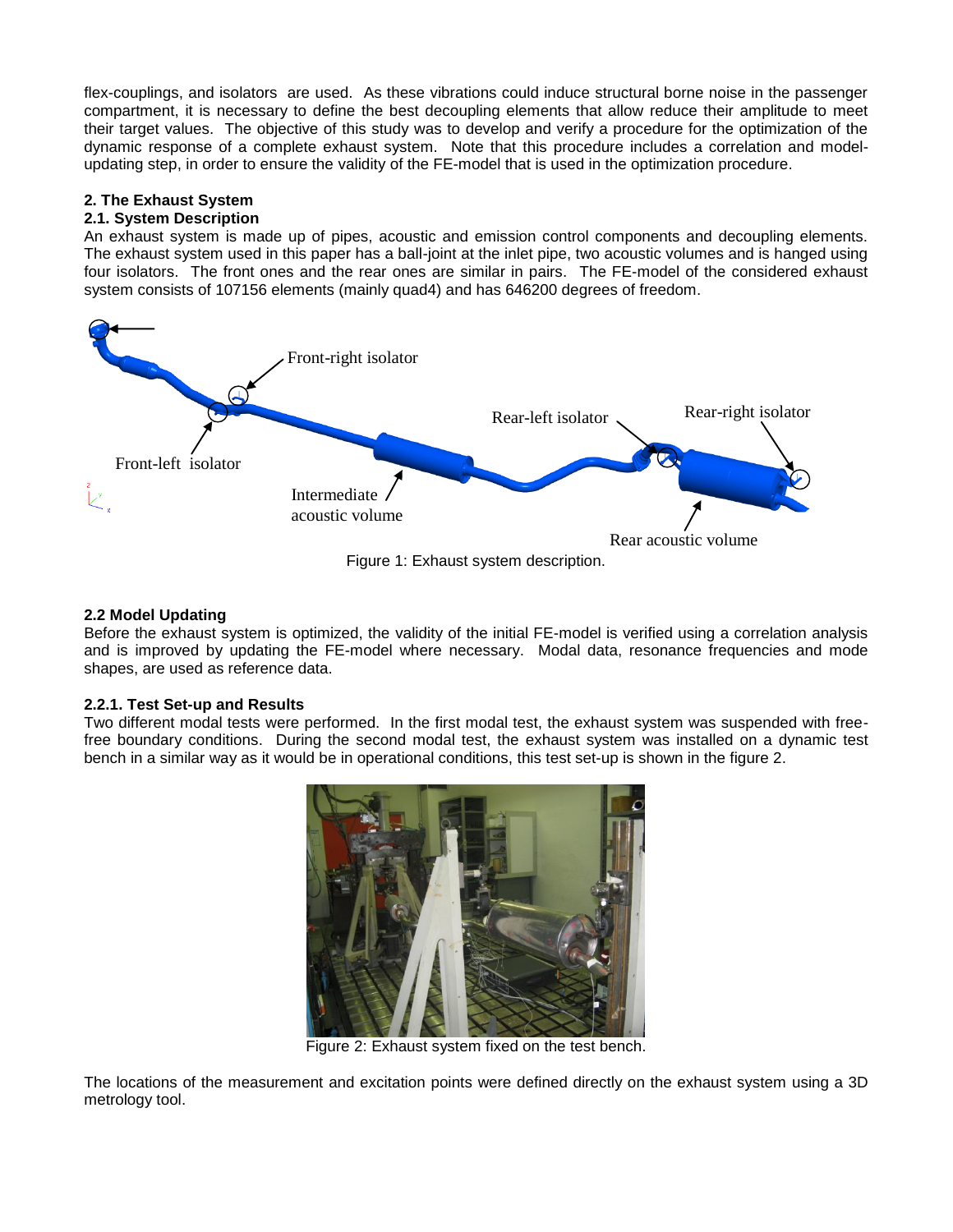flex-couplings, and isolators are used. As these vibrations could induce structural borne noise in the passenger compartment, it is necessary to define the best decoupling elements that allow reduce their amplitude to meet their target values. The objective of this study was to develop and verify a procedure for the optimization of the dynamic response of a complete exhaust system. Note that this procedure includes a correlation and modelupdating step, in order to ensure the validity of the FE-model that is used in the optimization procedure.

## **2. The Exhaust System**

#### **2.1. System Description**

An exhaust system is made up of pipes, acoustic and emission control components and decoupling elements. The exhaust system used in this paper has a ball-joint at the inlet pipe, two acoustic volumes and is hanged using four isolators. The front ones and the rear ones are similar in pairs. The FE-model of the considered exhaust system consists of 107156 elements (mainly quad4) and has 646200 degrees of freedom.



Figure 1: Exhaust system description.

#### **2.2 Model Updating**

Before the exhaust system is optimized, the validity of the initial FE-model is verified using a correlation analysis and is improved by updating the FE-model where necessary. Modal data, resonance frequencies and mode shapes, are used as reference data.

#### **2.2.1. Test Set-up and Results**

Two different modal tests were performed. In the first modal test, the exhaust system was suspended with freefree boundary conditions. During the second modal test, the exhaust system was installed on a dynamic test bench in a similar way as it would be in operational conditions, this test set-up is shown in the figure 2.



Figure 2: Exhaust system fixed on the test bench.

The locations of the measurement and excitation points were defined directly on the exhaust system using a 3D metrology tool.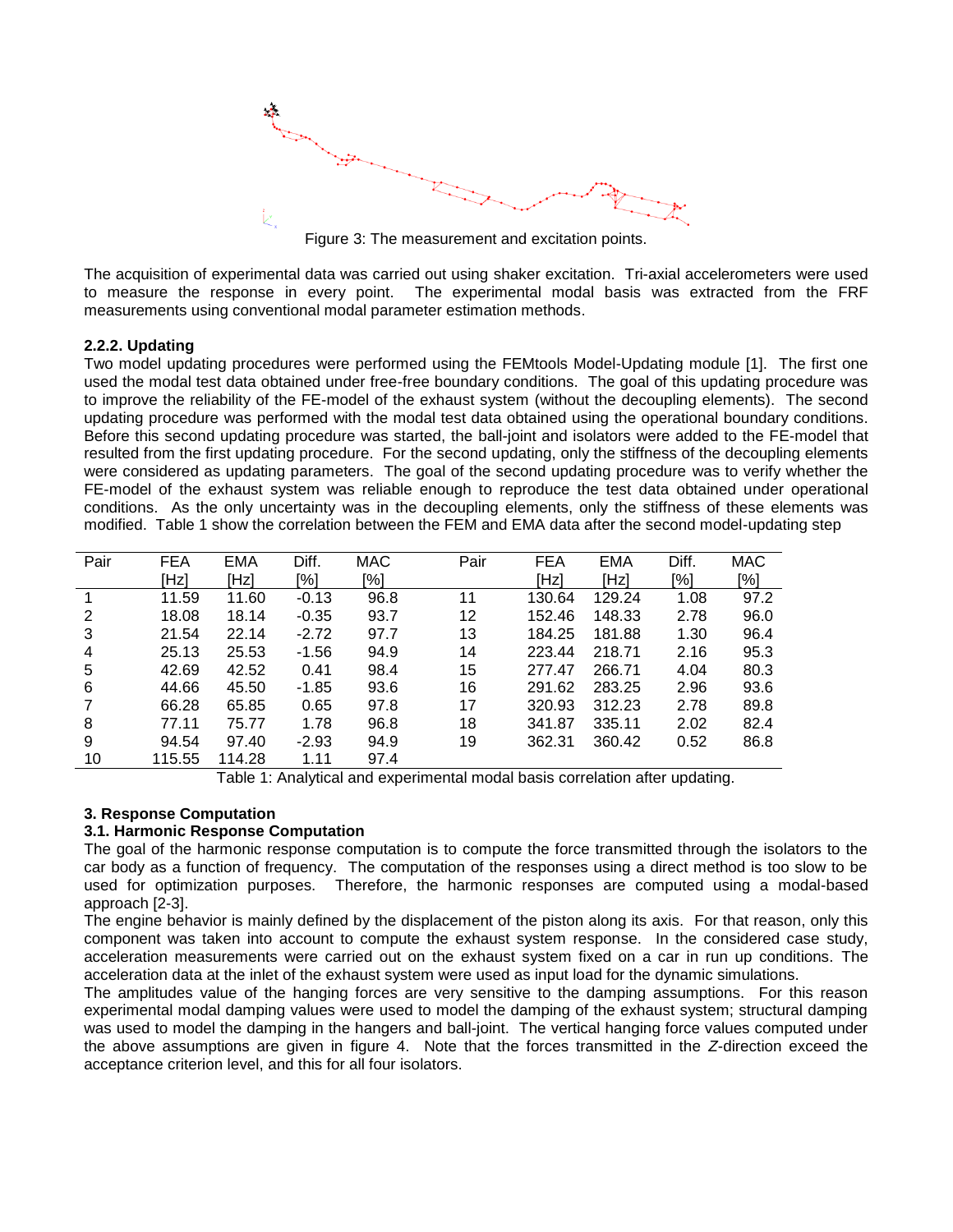

Figure 3: The measurement and excitation points.

The acquisition of experimental data was carried out using shaker excitation. Tri-axial accelerometers were used to measure the response in every point. The experimental modal basis was extracted from the FRF measurements using conventional modal parameter estimation methods.

#### **2.2.2. Updating**

Two model updating procedures were performed using the FEMtools Model-Updating module [1]. The first one used the modal test data obtained under free-free boundary conditions. The goal of this updating procedure was to improve the reliability of the FE-model of the exhaust system (without the decoupling elements). The second updating procedure was performed with the modal test data obtained using the operational boundary conditions. Before this second updating procedure was started, the ball-joint and isolators were added to the FE-model that resulted from the first updating procedure. For the second updating, only the stiffness of the decoupling elements were considered as updating parameters. The goal of the second updating procedure was to verify whether the FE-model of the exhaust system was reliable enough to reproduce the test data obtained under operational conditions. As the only uncertainty was in the decoupling elements, only the stiffness of these elements was modified. Table 1 show the correlation between the FEM and EMA data after the second model-updating step

| Pair | <b>FEA</b> | <b>EMA</b> | Diff.   | <b>MAC</b> | Pair | <b>FEA</b> | <b>EMA</b> | Diff. | <b>MAC</b> |
|------|------------|------------|---------|------------|------|------------|------------|-------|------------|
|      | [Hz]       | [Hz]       | [%]     | [%]        |      | [Hz]       | [Hz]       | [%]   | [%]        |
|      | 11.59      | 11.60      | $-0.13$ | 96.8       | 11   | 130.64     | 129.24     | 1.08  | 97.2       |
| 2    | 18.08      | 18.14      | $-0.35$ | 93.7       | 12   | 152.46     | 148.33     | 2.78  | 96.0       |
| 3    | 21.54      | 22.14      | $-2.72$ | 97.7       | 13   | 184.25     | 181.88     | 1.30  | 96.4       |
| 4    | 25.13      | 25.53      | $-1.56$ | 94.9       | 14   | 223.44     | 218.71     | 2.16  | 95.3       |
| 5    | 42.69      | 42.52      | 0.41    | 98.4       | 15   | 277.47     | 266.71     | 4.04  | 80.3       |
| 6    | 44.66      | 45.50      | $-1.85$ | 93.6       | 16   | 291.62     | 283.25     | 2.96  | 93.6       |
|      | 66.28      | 65.85      | 0.65    | 97.8       | 17   | 320.93     | 312.23     | 2.78  | 89.8       |
| 8    | 77.11      | 75.77      | 1.78    | 96.8       | 18   | 341.87     | 335.11     | 2.02  | 82.4       |
| 9    | 94.54      | 97.40      | $-2.93$ | 94.9       | 19   | 362.31     | 360.42     | 0.52  | 86.8       |
| 10   | 115.55     | 114.28     | 1.11    | 97.4       |      |            |            |       |            |

Table 1: Analytical and experimental modal basis correlation after updating.

## **3. Response Computation**

#### **3.1. Harmonic Response Computation**

The goal of the harmonic response computation is to compute the force transmitted through the isolators to the car body as a function of frequency. The computation of the responses using a direct method is too slow to be used for optimization purposes. Therefore, the harmonic responses are computed using a modal-based approach [2-3].

The engine behavior is mainly defined by the displacement of the piston along its axis. For that reason, only this component was taken into account to compute the exhaust system response. In the considered case study, acceleration measurements were carried out on the exhaust system fixed on a car in run up conditions. The acceleration data at the inlet of the exhaust system were used as input load for the dynamic simulations.

The amplitudes value of the hanging forces are very sensitive to the damping assumptions. For this reason experimental modal damping values were used to model the damping of the exhaust system; structural damping was used to model the damping in the hangers and ball-joint. The vertical hanging force values computed under the above assumptions are given in figure 4. Note that the forces transmitted in the *Z*-direction exceed the acceptance criterion level, and this for all four isolators.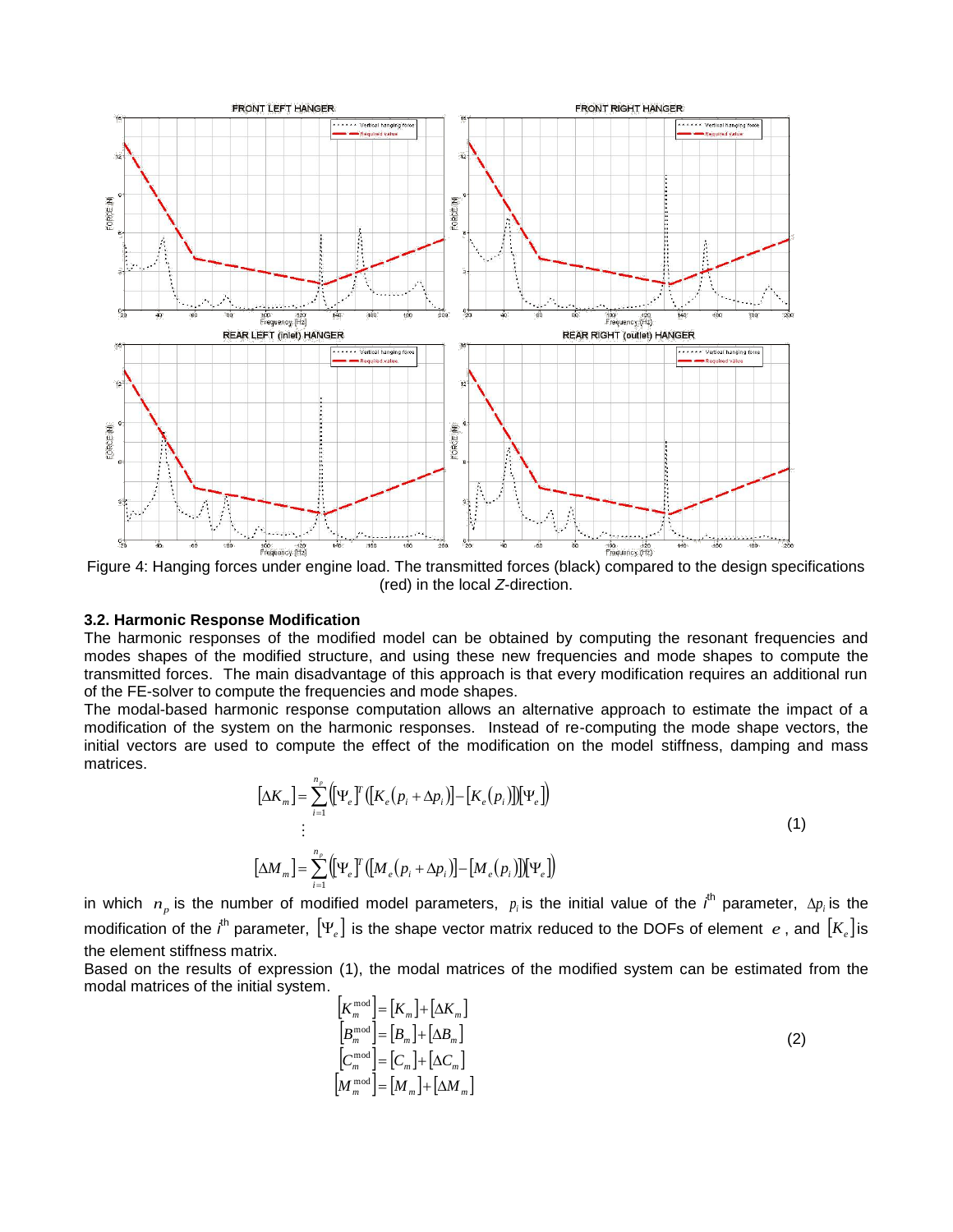

Figure 4: Hanging forces under engine load. The transmitted forces (black) compared to the design specifications (red) in the local *Z*-direction.

#### **3.2. Harmonic Response Modification**

The harmonic responses of the modified model can be obtained by computing the resonant frequencies and modes shapes of the modified structure, and using these new frequencies and mode shapes to compute the transmitted forces. The main disadvantage of this approach is that every modification requires an additional run of the FE-solver to compute the frequencies and mode shapes.

The modal-based harmonic response computation allows an alternative approach to estimate the impact of a modification of the system on the harmonic responses. Instead of re-computing the mode shape vectors, the initial vectors are used to compute the effect of the modification on the model stiffness, damping and mass matrices.

$$
\left[\Delta K_m\right] = \sum_{i=1}^{n_p} \left( \left[\Psi_e \right]^T \left( \left[K_e \left(p_i + \Delta p_i\right) \right] - \left[K_e \left(p_i\right) \right] \right] \left[\Psi_e\right] \right)
$$
  
\n
$$
\vdots
$$
  
\n
$$
\left[\Delta M_m\right] = \sum_{i=1}^{n_p} \left( \left[\Psi_e \right]^T \left( \left[M_e \left(p_i + \Delta p_i\right) \right] - \left[M_e \left(p_i\right) \right] \right] \left[\Psi_e\right] \right)
$$
\n(1)

in which  $n_p$  is the number of modified model parameters,  $p_i$  is the initial value of the  $i^{\text{th}}$  parameter,  $\Delta p_i$  is the modification of the *i*<sup>th</sup> parameter,  $[\Psi_e]$  is the shape vector matrix reduced to the DOFs of element  $e$  , and  $[K_e]$  is the element stiffness matrix.

Based on the results of expression [\(1\),](#page-3-0) the modal matrices of the modified system can be estimated from the modal matrices of the initial system.

<span id="page-3-0"></span>
$$
\begin{aligned}\n\left[K_m^{\text{mod}}\right] &= \left[K_m\right] + \left[\Delta K_m\right] \\
\left[B_m^{\text{mod}}\right] &= \left[B_m\right] + \left[\Delta B_m\right] \\
\left[C_m^{\text{mod}}\right] &= \left[C_m\right] + \left[\Delta C_m\right] \\
\left[M_m^{\text{mod}}\right] &= \left[M_m\right] + \left[\Delta M_m\right]\n\end{aligned} \tag{2}
$$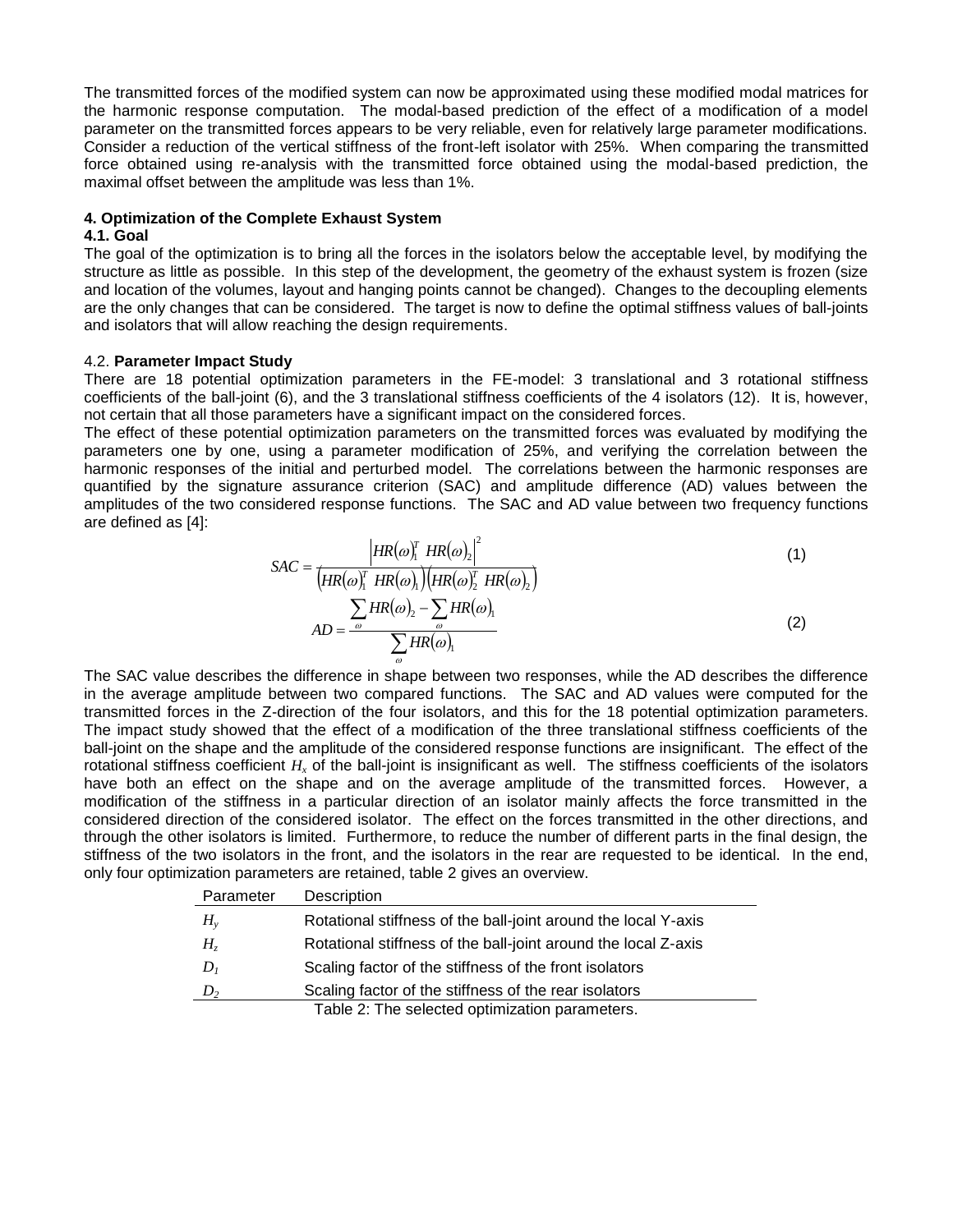The transmitted forces of the modified system can now be approximated using these modified modal matrices for the harmonic response computation. The modal-based prediction of the effect of a modification of a model parameter on the transmitted forces appears to be very reliable, even for relatively large parameter modifications. Consider a reduction of the vertical stiffness of the front-left isolator with 25%. When comparing the transmitted force obtained using re-analysis with the transmitted force obtained using the modal-based prediction, the maximal offset between the amplitude was less than 1%.

#### **4. Optimization of the Complete Exhaust System**

#### **4.1. Goal**

The goal of the optimization is to bring all the forces in the isolators below the acceptable level, by modifying the structure as little as possible. In this step of the development, the geometry of the exhaust system is frozen (size and location of the volumes, layout and hanging points cannot be changed). Changes to the decoupling elements are the only changes that can be considered. The target is now to define the optimal stiffness values of ball-joints and isolators that will allow reaching the design requirements.

#### 4.2. **Parameter Impact Study**

There are 18 potential optimization parameters in the FE-model: 3 translational and 3 rotational stiffness coefficients of the ball-joint (6), and the 3 translational stiffness coefficients of the 4 isolators (12). It is, however, not certain that all those parameters have a significant impact on the considered forces.

The effect of these potential optimization parameters on the transmitted forces was evaluated by modifying the parameters one by one, using a parameter modification of 25%, and verifying the correlation between the harmonic responses of the initial and perturbed model. The correlations between the harmonic responses are quantified by the signature assurance criterion (SAC) and amplitude difference (AD) values between the amplitudes of the two considered response functions. The SAC and AD value between two frequency functions are defined as [4]:

$$
SAC = \frac{\left| HR(\omega)_1^T HR(\omega)_2 \right|^2}{\left( HR(\omega)_1^T HR(\omega)_1 \right) \left( HR(\omega)_2^T HR(\omega)_2 \right)}
$$
(1)  

$$
AD = \frac{\sum_{\omega} HR(\omega)_2 - \sum_{\omega} HR(\omega)_1}{\sum_{\omega} HR(\omega)_1}
$$
(2)

The SAC value describes the difference in shape between two responses, while the AD describes the difference in the average amplitude between two compared functions. The SAC and AD values were computed for the transmitted forces in the Z-direction of the four isolators, and this for the 18 potential optimization parameters. The impact study showed that the effect of a modification of the three translational stiffness coefficients of the ball-joint on the shape and the amplitude of the considered response functions are insignificant. The effect of the rotational stiffness coefficient  $H<sub>x</sub>$  of the ball-joint is insignificant as well. The stiffness coefficients of the isolators have both an effect on the shape and on the average amplitude of the transmitted forces. However, a modification of the stiffness in a particular direction of an isolator mainly affects the force transmitted in the considered direction of the considered isolator. The effect on the forces transmitted in the other directions, and through the other isolators is limited. Furthermore, to reduce the number of different parts in the final design, the stiffness of the two isolators in the front, and the isolators in the rear are requested to be identical. In the end, only four optimization parameters are retained, table 2 gives an overview.

| Parameter      | Description                                                    |
|----------------|----------------------------------------------------------------|
| $H_{v}$        | Rotational stiffness of the ball-joint around the local Y-axis |
| H <sub>z</sub> | Rotational stiffness of the ball-joint around the local Z-axis |
| $D_{I}$        | Scaling factor of the stiffness of the front isolators         |
| $D_2$          | Scaling factor of the stiffness of the rear isolators          |
|                | Table 2: The selected optimization parameters.                 |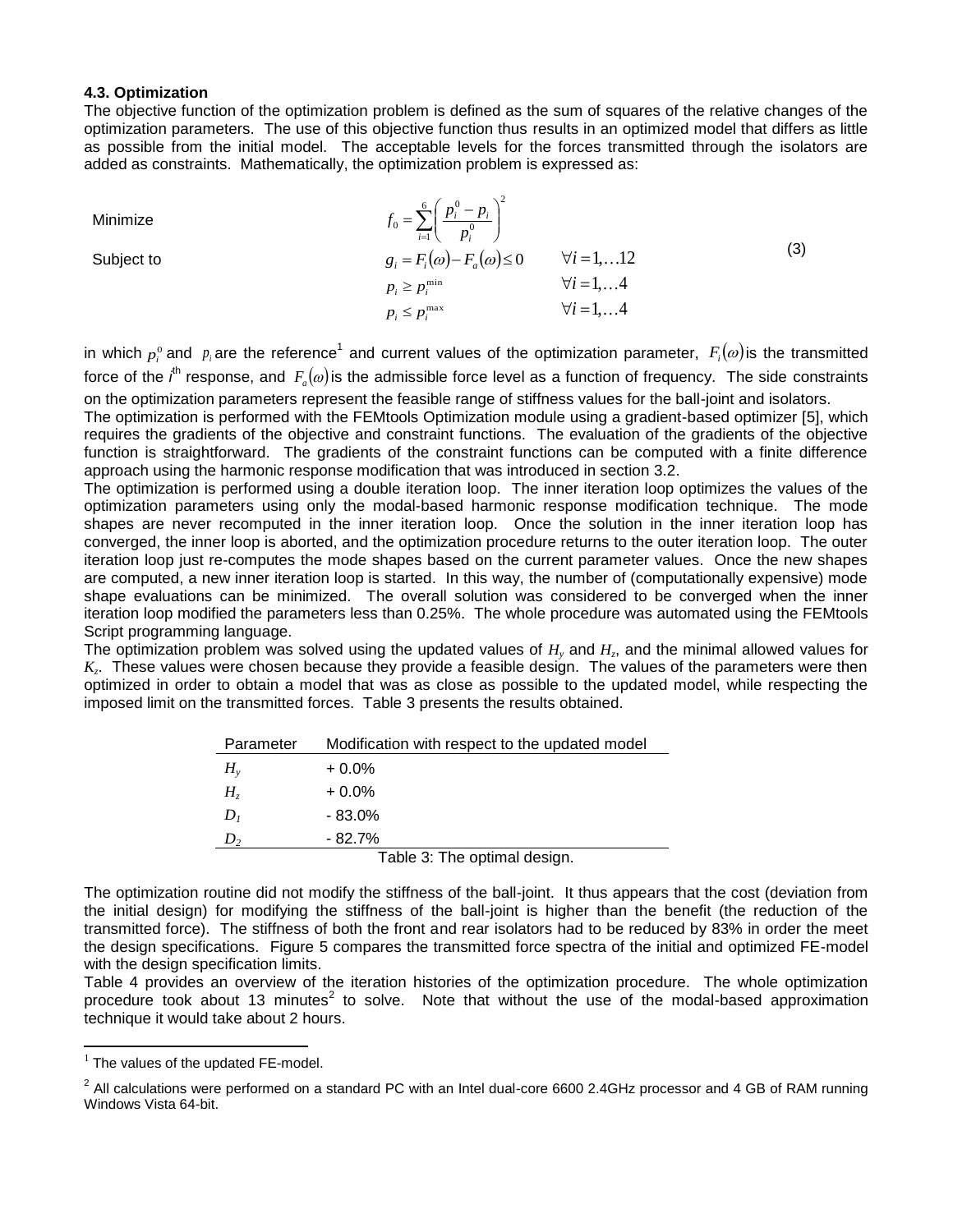#### **4.3. Optimization**

The objective function of the optimization problem is defined as the sum of squares of the relative changes of the optimization parameters. The use of this objective function thus results in an optimized model that differs as little as possible from the initial model. The acceptable levels for the forces transmitted through the isolators are added as constraints. Mathematically, the optimization problem is expressed as:

Minimize  $\sum_{i=1}^{6} \left( \frac{p_i^0 - p_i}{p_i^0} \right)$  $\overline{I_{i-1}}\left( \quad P_i \quad \right)$  $=\sum_{i=1}^{6}\left(\frac{p_i^0-p_i}{p_i^0}\right)^2$  $\mathbf 0$  $\mathbf{0}$  $\sum_{i=0}^{n} \left| \frac{P_i - P_i}{P_i} \right|$ *p*  $f_0 = \sum_{i=0}^{6} \left( \frac{p_i^0 - p_i^0}{a} \right)$ Subject to  $g_i = F_i(\omega) - F_a(\omega) \le 0 \quad \forall i = 1,...12$ min *p<sup>i</sup> p<sup>i</sup> i* 1,4 max *p<sup>i</sup> p<sup>i</sup> i* 1,4 (3)

in which  $p_i^0$  and  $p_i$  are the reference<sup>1</sup> and current values of the optimization parameter,  $F_i(\omega)$  is the transmitted force of the *i*<sup>h</sup> response, and  $F_a(\omega)$  is the admissible force level as a function of frequency. The side constraints on the optimization parameters represent the feasible range of stiffness values for the ball-joint and isolators.

The optimization is performed with the FEMtools Optimization module using a gradient-based optimizer [5], which requires the gradients of the objective and constraint functions. The evaluation of the gradients of the objective function is straightforward. The gradients of the constraint functions can be computed with a finite difference approach using the harmonic response modification that was introduced in section 3.2.

The optimization is performed using a double iteration loop. The inner iteration loop optimizes the values of the optimization parameters using only the modal-based harmonic response modification technique. The mode shapes are never recomputed in the inner iteration loop. Once the solution in the inner iteration loop has converged, the inner loop is aborted, and the optimization procedure returns to the outer iteration loop. The outer iteration loop just re-computes the mode shapes based on the current parameter values. Once the new shapes are computed, a new inner iteration loop is started. In this way, the number of (computationally expensive) mode shape evaluations can be minimized. The overall solution was considered to be converged when the inner iteration loop modified the parameters less than 0.25%. The whole procedure was automated using the FEMtools Script programming language.

The optimization problem was solved using the updated values of *H<sup>y</sup>* and *H<sup>z</sup>* , and the minimal allowed values for *Kz* . These values were chosen because they provide a feasible design. The values of the parameters were then optimized in order to obtain a model that was as close as possible to the updated model, while respecting the imposed limit on the transmitted forces. Table 3 presents the results obtained.

| Parameter                    | Modification with respect to the updated model |  |  |  |
|------------------------------|------------------------------------------------|--|--|--|
| $H_{v}$                      | $+0.0\%$                                       |  |  |  |
| $H_{\tau}$                   | $+0.0\%$                                       |  |  |  |
| D <sub>1</sub>               | $-83.0%$                                       |  |  |  |
|                              | $-82.7\%$                                      |  |  |  |
| Table 3: The optimal design. |                                                |  |  |  |

The optimization routine did not modify the stiffness of the ball-joint. It thus appears that the cost (deviation from the initial design) for modifying the stiffness of the ball-joint is higher than the benefit (the reduction of the transmitted force). The stiffness of both the front and rear isolators had to be reduced by 83% in order the meet the design specifications. Figure 5 compares the transmitted force spectra of the initial and optimized FE-model with the design specification limits.

Table 4 provides an overview of the iteration histories of the optimization procedure. The whole optimization procedure took about 13 minutes<sup>2</sup> to solve. Note that without the use of the modal-based approximation technique it would take about 2 hours.

1

 $1$  The values of the updated FE-model.

 $^2$  All calculations were performed on a standard PC with an Intel dual-core 6600 2.4GHz processor and 4 GB of RAM running Windows Vista 64-bit.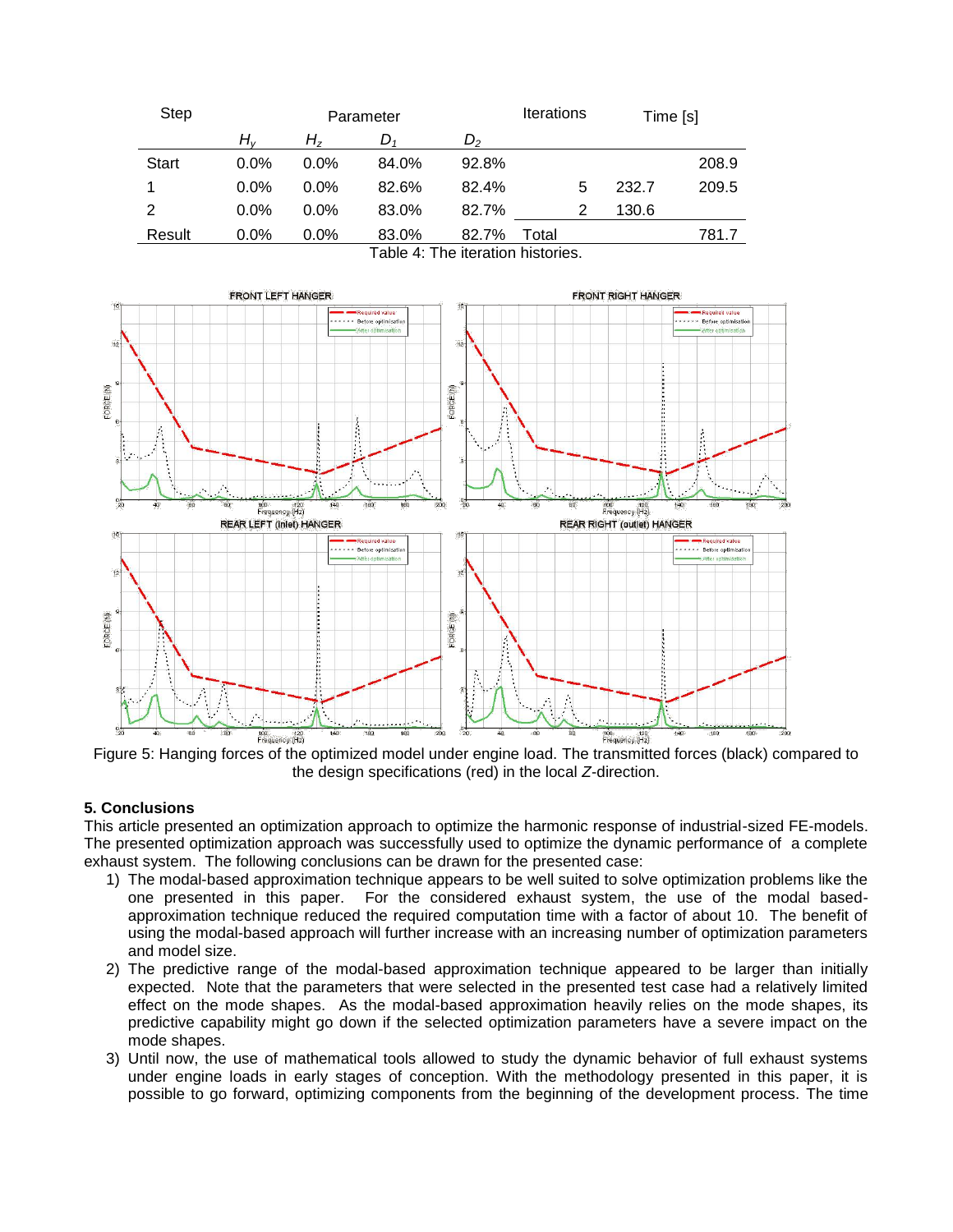| <b>Step</b>  | Parameter |         |       |         | <b>Iterations</b><br>Time [s] |   |       |       |
|--------------|-----------|---------|-------|---------|-------------------------------|---|-------|-------|
|              | H.,       | H,      | D,    | $D_{2}$ |                               |   |       |       |
| <b>Start</b> | $0.0\%$   | $0.0\%$ | 84.0% | 92.8%   |                               |   |       | 208.9 |
|              | $0.0\%$   | $0.0\%$ | 82.6% | 82.4%   |                               | 5 | 232.7 | 209.5 |
| 2            | $0.0\%$   | $0.0\%$ | 83.0% | 82.7%   |                               |   | 130.6 |       |
| Result       | $0.0\%$   | $0.0\%$ | 83.0% | 82.7%   | Total                         |   |       | 781.7 |
|              |           |         | --    |         |                               |   |       |       |

Table 4: The iteration histories.



Figure 5: Hanging forces of the optimized model under engine load. The transmitted forces (black) compared to the design specifications (red) in the local *Z*-direction.

#### **5. Conclusions**

This article presented an optimization approach to optimize the harmonic response of industrial-sized FE-models. The presented optimization approach was successfully used to optimize the dynamic performance of a complete exhaust system. The following conclusions can be drawn for the presented case:

- 1) The modal-based approximation technique appears to be well suited to solve optimization problems like the one presented in this paper. For the considered exhaust system, the use of the modal based-For the considered exhaust system, the use of the modal basedapproximation technique reduced the required computation time with a factor of about 10. The benefit of using the modal-based approach will further increase with an increasing number of optimization parameters and model size.
- 2) The predictive range of the modal-based approximation technique appeared to be larger than initially expected. Note that the parameters that were selected in the presented test case had a relatively limited effect on the mode shapes. As the modal-based approximation heavily relies on the mode shapes, its predictive capability might go down if the selected optimization parameters have a severe impact on the mode shapes.
- 3) Until now, the use of mathematical tools allowed to study the dynamic behavior of full exhaust systems under engine loads in early stages of conception. With the methodology presented in this paper, it is possible to go forward, optimizing components from the beginning of the development process. The time